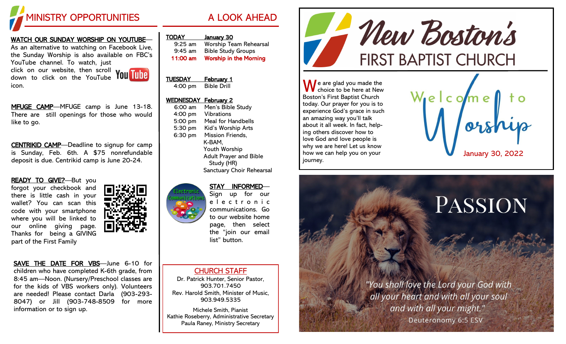

## WATCH OUR SUNDAY WORSHIP ON YOUTUBE—

As an alternative to watching on Facebook Live, the Sunday Worship is also available on FBC's YouTube channel. To watch, just

click on our website, then scroll

icon.

down to click on the YouTube

MFUGE CAMP-MFUGE camp is June 13-18. There are still openings for those who would like to go.

CENTRIKID CAMP—Deadline to signup for camp is Sunday, Feb. 6th. A \$75 nonrefundable deposit is due. Centrikid camp is June 20-24.

READY TO GIVE?-But you forgot your checkbook and there is little cash in your wallet? You can scan this code with your smartphone where you will be linked to our online giving page. Thanks for being a GIVING part of the First Family



SAVE THE DATE FOR VBS—June 6-10 for children who have completed K-6th grade, from 8:45 am—Noon. (Nursery/Preschool classes are for the kids of VBS workers only). Volunteers are needed! Please contact Darla (903-293- 8047) or Jill (903-748-8509 for more information or to sign up.



11:00 am Worship in the Morning

## TUESDAY February 1 4:00 pm Bible Drill

## WEDNESDAY February 2

| $6:00$ am | Men's Bible Study             |
|-----------|-------------------------------|
| 4:00 pm   | <b>Vibrations</b>             |
| 5:00 pm   | Meal for Handbells            |
| 5:30 pm   | Kid's Worship Arts            |
| 6:30 pm   | Mission Friends,              |
|           | K-BAM.                        |
|           | Youth Worship                 |
|           | <b>Adult Prayer and Bible</b> |
|           | Study (HR)                    |
|           | Sanctuary Choir Rehearsal     |
|           |                               |

## STAY INFORMED— Sign up for our

e l e c t r o n i c communications. Go to our website home page, then select the "join our email list" button.

CHURCH STAFF

Dr. Patrick Hunter, Senior Pastor, 903.701.7450 Rev. Harold Smith, Minister of Music, 903.949.5335

Michele Smith, Pianist Kathie Roseberry, Administrative Secretary Paula Raney, Ministry Secretary



 $\bigwedge$  e are glad you made the choice to be here at New Boston's First Baptist Church today. Our prayer for you is to experience God's grace in such an amazing way you'll talk about it all week. In fact, helping others discover how to love God and love people is why we are here! Let us know how we can help you on your journey.



# PASSION

"You shall love the Lord your God with all your heart and with all your soul and with all your might."

Deuteronomy 6:5 ESV